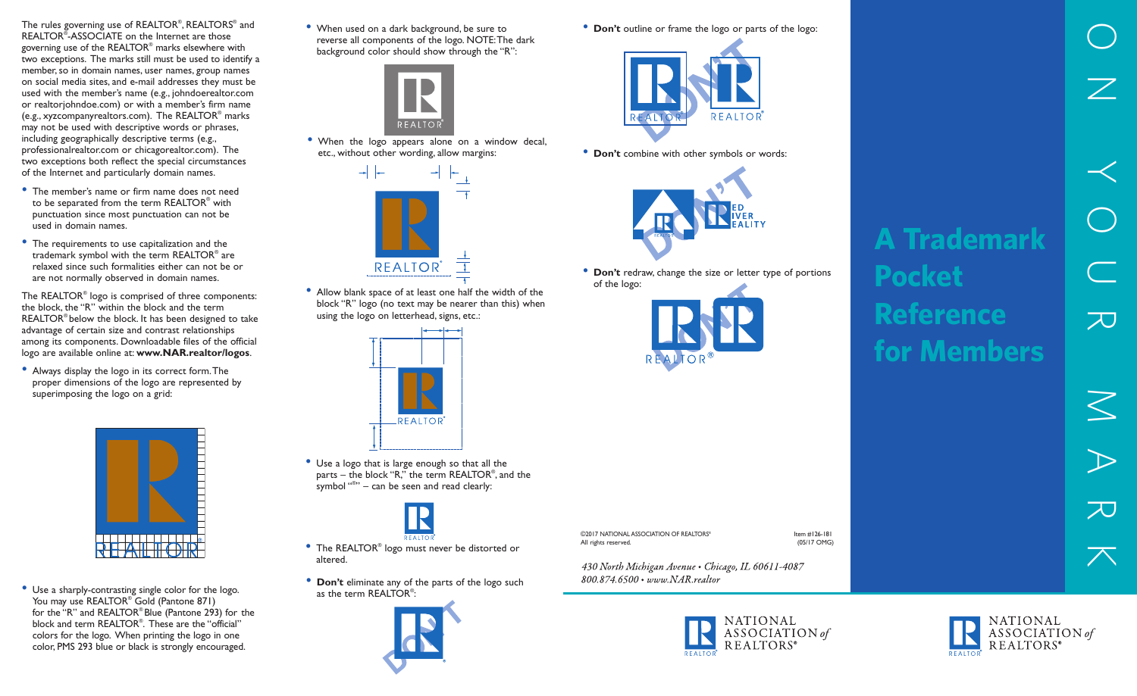The rules governing use of REALTOR® , REALTORS® and REALTOR® -ASSOCIATE on the Internet are those governing use of the REALTOR® marks elsewhere with two exceptions. The marks still must be used to identify a member, so in domain names, user names, group names on social media sites, and e-mail addresses they must be used with the member's name (e.g., johndoerealtor.com or realtorjohndoe.com) or with a member's firm name (e.g., xyzcompanyrealtors.com). The REALTOR® marks may not be used with descriptive words or phrases, including geographically descriptive terms (e.g., professionalrealtor.com or chicagorealtor.com). The two exceptions both reflect the special circumstances of the Internet and particularly domain names.

- The member's name or firm name does not need to be separated from the term REALTOR® with punctuation since most punctuation can not be used in domain names.
- The requirements to use capitalization and the trademark symbol with the term REALTOR® are relaxed since such formalities either can not be or are not normally observed in domain names.

The REALTOR® logo is comprised of three components: the block, the "R" within the block and the term REALTOR® below the block. It has been designed to take advantage of certain size and contrast relationships among its components. Downloadable files of the official logo are available online at: **www.NAR.realtor/logos**.

• Always display the logo in its correct form.The proper dimensions of the logo are represented by superimposing the logo on a grid:



: • Use <sup>a</sup> sharply-contrasting single color for the logo. You may use REALTOR<sup>®</sup> Gold (Pantone 871) for the "R" and REALTOR® Blue (Pantone 293) for the block and term REALTOR® . These are the "official" colors for the logo. When printing the logo in one color, PMS 293 blue or black is strongly encouraged.

• When used on <sup>a</sup> dark background, be sure to reverse all components of the logo. NOTE:The dark background color should show through the "R":



• When the logo appears alone on a window decal, etc., without other wording, allow margins:



• Allow blank space of at least one half the width of the block "R" logo (no text may be nearer than this) when using the logo on letterhead, signs, etc.:



• Use <sup>a</sup> logo that is large enough so that all the parts – the block "R," the term REALTOR® , and the symbol " ® " – can be seen and read clearly:



- The REALTOR® logo must never be distorted or altered.
- **Don't** eliminate any of the parts of the logo such as the term REALTOR<sup>®</sup>:



• **Don't** outline or frame the logo or parts of the logo:



• **Don't** combine with other symbols or words:



• **Don't** redraw, change the size or letter type of portions of the logo:





 $\overline{\leq}$  $\Rightarrow$ ー<br>ス<br>  $\overline{\nearrow}$ 

 $\bigcirc$ 

 $\overline{\angle}$ 

 $\prec$ 

 $\bigcirc$ 

 $\overline{\mathbb{C}}$ 

 $\overline{\lambda}$ 

©2017 NATIONAL ASSOCIATION OF REALTORS® Item #126-181 All rights reserved.

430 North Michigan Avenue . Chicago, IL 60611-4087 800.874.6500 · www.NAR.realtor